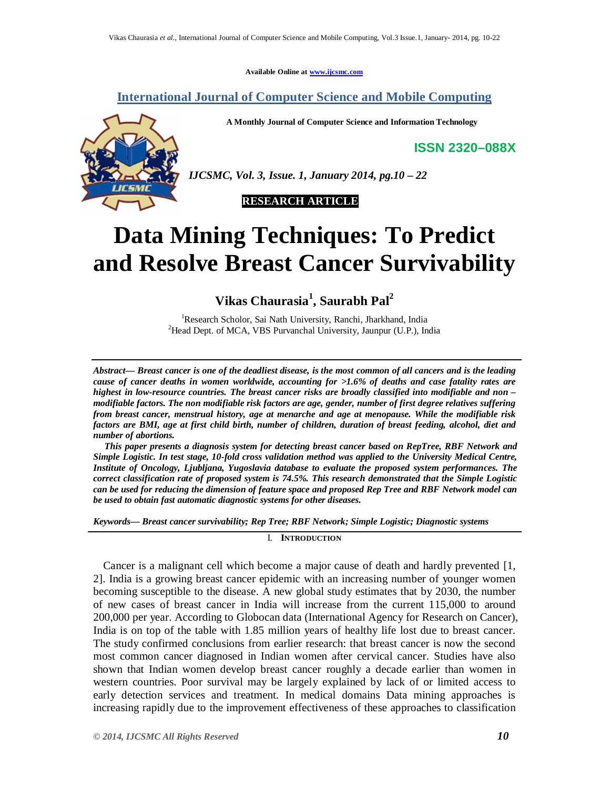**Available Online at www.ijcsmc.com**

**International Journal of Computer Science and Mobile Computing**

**A Monthly Journal of Computer Science and Information Technology**

**ISSN 2320–088X**



*IJCSMC, Vol. 3, Issue. 1, January 2014, pg.10 – 22*



# **Data Mining Techniques: To Predict and Resolve Breast Cancer Survivability**

**Vikas Chaurasia<sup>1</sup> , Saurabh Pal<sup>2</sup>** 

<sup>1</sup>Research Scholor, Sai Nath University, Ranchi, Jharkhand, India <sup>2</sup>Head Dept. of MCA, VBS Purvanchal University, Jaunpur (U.P.), India

*Abstract— Breast cancer is one of the deadliest disease, is the most common of all cancers and is the leading cause of cancer deaths in women worldwide, accounting for >1.6% of deaths and case fatality rates are highest in low-resource countries. The breast cancer risks are broadly classified into modifiable and non – modifiable factors. The non modifiable risk factors are age, gender, number of first degree relatives suffering from breast cancer, menstrual history, age at menarche and age at menopause. While the modifiable risk factors are BMI, age at first child birth, number of children, duration of breast feeding, alcohol, diet and number of abortions.*

*This paper presents a diagnosis system for detecting breast cancer based on RepTree, RBF Network and Simple Logistic. In test stage, 10-fold cross validation method was applied to the University Medical Centre, Institute of Oncology, Ljubljana, Yugoslavia database to evaluate the proposed system performances. The correct classification rate of proposed system is 74.5%. This research demonstrated that the Simple Logistic can be used for reducing the dimension of feature space and proposed Rep Tree and RBF Network model can be used to obtain fast automatic diagnostic systems for other diseases.*

*Keywords— Breast cancer survivability; Rep Tree; RBF Network; Simple Logistic; Diagnostic systems*

I. **INTRODUCTION**

Cancer is a malignant cell which become a major cause of death and hardly prevented [1, 2]. India is a growing breast cancer epidemic with an increasing number of younger women becoming susceptible to the disease. A new global study estimates that by 2030, the number of new cases of breast cancer in India will increase from the current 115,000 to around 200,000 per year. According to Globocan data (International Agency for Research on Cancer), India is on top of the table with 1.85 million years of healthy life lost due to breast cancer. The study confirmed conclusions from earlier research: that breast cancer is now the second most common cancer diagnosed in Indian women after cervical cancer. Studies have also shown that Indian women develop breast cancer roughly a decade earlier than women in western countries. Poor survival may be largely explained by lack of or limited access to early detection services and treatment. In medical domains Data mining approaches is increasing rapidly due to the improvement effectiveness of these approaches to classification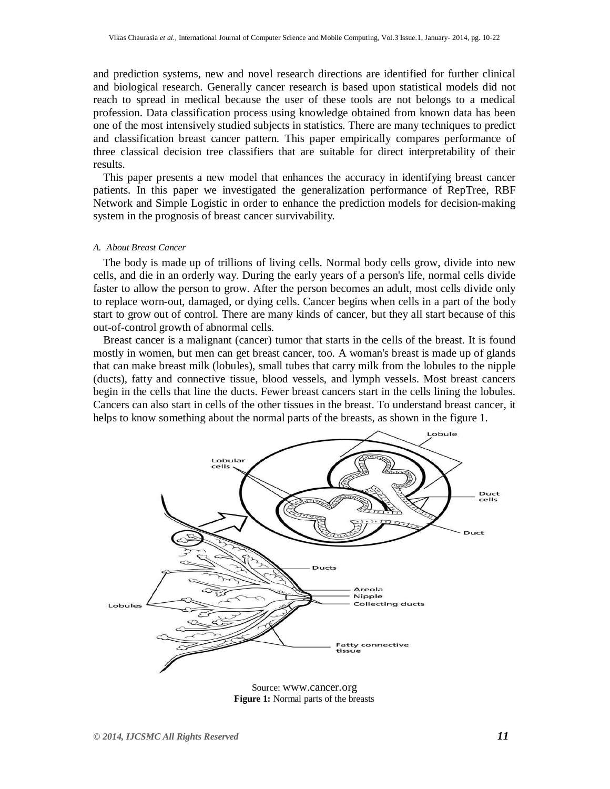and prediction systems, new and novel research directions are identified for further clinical and biological research. Generally cancer research is based upon statistical models did not reach to spread in medical because the user of these tools are not belongs to a medical profession. Data classification process using knowledge obtained from known data has been one of the most intensively studied subjects in statistics. There are many techniques to predict and classification breast cancer pattern. This paper empirically compares performance of three classical decision tree classifiers that are suitable for direct interpretability of their results.

This paper presents a new model that enhances the accuracy in identifying breast cancer patients. In this paper we investigated the generalization performance of RepTree, RBF Network and Simple Logistic in order to enhance the prediction models for decision-making system in the prognosis of breast cancer survivability.

## *A. About Breast Cancer*

The body is made up of trillions of living cells. Normal body cells grow, divide into new cells, and die in an orderly way. During the early years of a person's life, normal cells divide faster to allow the person to grow. After the person becomes an adult, most cells divide only to replace worn-out, damaged, or dying cells. Cancer begins when cells in a part of the body start to grow out of control. There are many kinds of cancer, but they all start because of this out-of-control growth of abnormal cells.

Breast cancer is a malignant (cancer) tumor that starts in the cells of the breast. It is found mostly in women, but men can get breast cancer, too. A woman's breast is made up of glands that can make breast milk (lobules), small tubes that carry milk from the lobules to the nipple (ducts), fatty and connective tissue, blood vessels, and lymph vessels. Most breast cancers begin in the cells that line the ducts. Fewer breast cancers start in the cells lining the lobules. Cancers can also start in cells of the other tissues in the breast. To understand breast cancer, it helps to know something about the normal parts of the breasts, as shown in the figure 1.



**Figure 1:** Normal parts of the breasts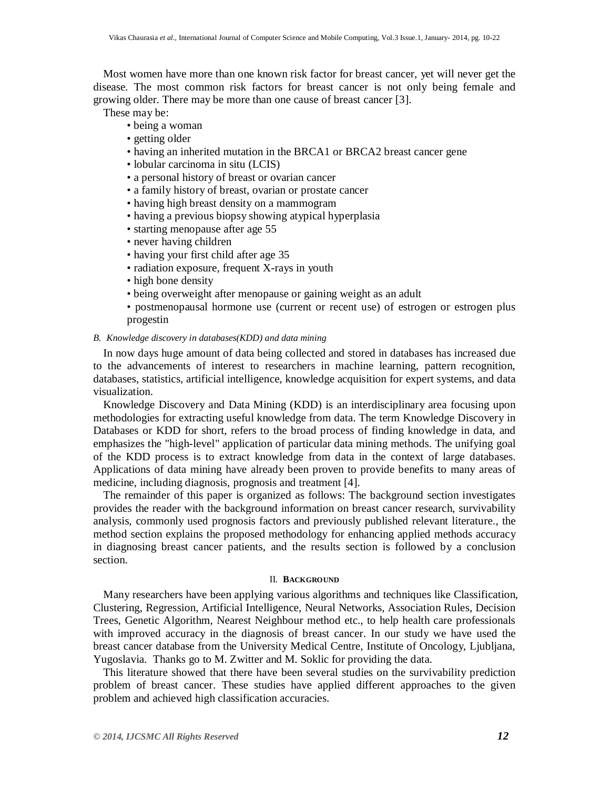Most women have more than one known risk factor for breast cancer, yet will never get the disease. The most common risk factors for breast cancer is not only being female and growing older. There may be more than one cause of breast cancer [3].

These may be:

- being a woman
- getting older
- having an inherited mutation in the BRCA1 or BRCA2 breast cancer gene
- lobular carcinoma in situ (LCIS)
- a personal history of breast or ovarian cancer
- a family history of breast, ovarian or prostate cancer
- having high breast density on a mammogram
- having a previous biopsy showing atypical hyperplasia
- starting menopause after age 55
- never having children
- having your first child after age 35
- radiation exposure, frequent X-rays in youth
- high bone density
- being overweight after menopause or gaining weight as an adult
- postmenopausal hormone use (current or recent use) of estrogen or estrogen plus progestin

## *B. Knowledge discovery in databases(KDD) and data mining*

In now days huge amount of data being collected and stored in databases has increased due to the advancements of interest to researchers in machine learning, pattern recognition, databases, statistics, artificial intelligence, knowledge acquisition for expert systems, and data visualization.

Knowledge Discovery and Data Mining (KDD) is an interdisciplinary area focusing upon methodologies for extracting useful knowledge from data. The term Knowledge Discovery in Databases or KDD for short, refers to the broad process of finding knowledge in data, and emphasizes the "high-level" application of particular data mining methods. The unifying goal of the KDD process is to extract knowledge from data in the context of large databases. Applications of data mining have already been proven to provide benefits to many areas of medicine, including diagnosis, prognosis and treatment [4].

The remainder of this paper is organized as follows: The background section investigates provides the reader with the background information on breast cancer research, survivability analysis, commonly used prognosis factors and previously published relevant literature., the method section explains the proposed methodology for enhancing applied methods accuracy in diagnosing breast cancer patients, and the results section is followed by a conclusion section.

#### II. **BACKGROUND**

Many researchers have been applying various algorithms and techniques like Classification, Clustering, Regression, Artificial Intelligence, Neural Networks, Association Rules, Decision Trees, Genetic Algorithm, Nearest Neighbour method etc., to help health care professionals with improved accuracy in the diagnosis of breast cancer. In our study we have used the breast cancer database from the University Medical Centre, Institute of Oncology, Ljubljana, Yugoslavia. Thanks go to M. Zwitter and M. Soklic for providing the data.

This literature showed that there have been several studies on the survivability prediction problem of breast cancer. These studies have applied different approaches to the given problem and achieved high classification accuracies.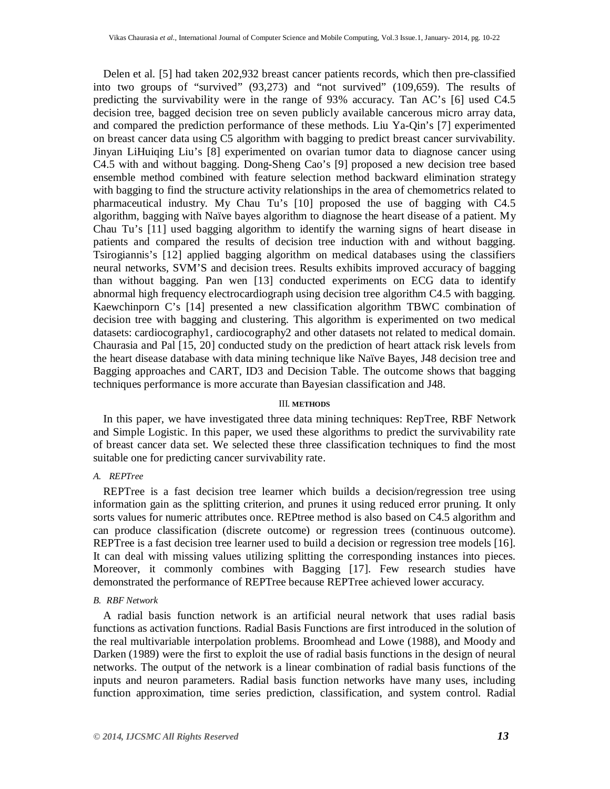Delen et al. [5] had taken 202,932 breast cancer patients records, which then pre-classified into two groups of "survived" (93,273) and "not survived" (109,659). The results of predicting the survivability were in the range of 93% accuracy. Tan AC's [6] used C4.5 decision tree, bagged decision tree on seven publicly available cancerous micro array data, and compared the prediction performance of these methods. Liu Ya-Qin's [7] experimented on breast cancer data using C5 algorithm with bagging to predict breast cancer survivability. Jinyan LiHuiqing Liu's [8] experimented on ovarian tumor data to diagnose cancer using C4.5 with and without bagging. Dong-Sheng Cao's [9] proposed a new decision tree based ensemble method combined with feature selection method backward elimination strategy with bagging to find the structure activity relationships in the area of chemometrics related to pharmaceutical industry. My Chau Tu's [10] proposed the use of bagging with C4.5 algorithm, bagging with Naïve bayes algorithm to diagnose the heart disease of a patient. My Chau Tu's [11] used bagging algorithm to identify the warning signs of heart disease in patients and compared the results of decision tree induction with and without bagging. Tsirogiannis's [12] applied bagging algorithm on medical databases using the classifiers neural networks, SVM'S and decision trees. Results exhibits improved accuracy of bagging than without bagging. Pan wen [13] conducted experiments on ECG data to identify abnormal high frequency electrocardiograph using decision tree algorithm C4.5 with bagging. Kaewchinporn C's [14] presented a new classification algorithm TBWC combination of decision tree with bagging and clustering. This algorithm is experimented on two medical datasets: cardiocography1, cardiocography2 and other datasets not related to medical domain. Chaurasia and Pal [15, 20] conducted study on the prediction of heart attack risk levels from the heart disease database with data mining technique like Naïve Bayes, J48 decision tree and Bagging approaches and CART, ID3 and Decision Table. The outcome shows that bagging techniques performance is more accurate than Bayesian classification and J48.

#### III. **METHODS**

In this paper, we have investigated three data mining techniques: RepTree, RBF Network and Simple Logistic. In this paper, we used these algorithms to predict the survivability rate of breast cancer data set. We selected these three classification techniques to find the most suitable one for predicting cancer survivability rate.

## *A. REPTree*

REPTree is a fast decision tree learner which builds a decision/regression tree using information gain as the splitting criterion, and prunes it using reduced error pruning. It only sorts values for numeric attributes once. REPtree method is also based on C4.5 algorithm and can produce classification (discrete outcome) or regression trees (continuous outcome). REPTree is a fast decision tree learner used to build a decision or regression tree models [16]. It can deal with missing values utilizing splitting the corresponding instances into pieces. Moreover, it commonly combines with Bagging [17]. Few research studies have demonstrated the performance of REPTree because REPTree achieved lower accuracy.

## *B. RBF Network*

A radial basis function network is an artificial neural network that uses radial basis functions as activation functions. Radial Basis Functions are first introduced in the solution of the real multivariable interpolation problems. Broomhead and Lowe (1988), and Moody and Darken (1989) were the first to exploit the use of radial basis functions in the design of neural networks. The output of the network is a linear combination of radial basis functions of the inputs and neuron parameters. Radial basis function networks have many uses, including function approximation, time series prediction, classification, and system control. Radial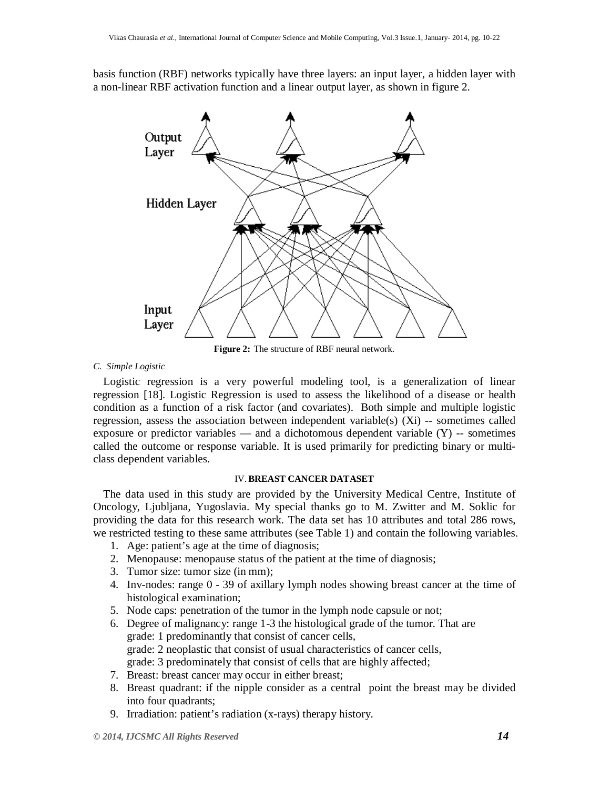basis function (RBF) networks typically have three layers: an input layer, a hidden layer with a non-linear RBF activation function and a linear output layer, as shown in figure 2.



**Figure 2:** The structure of RBF neural network.

## *C. Simple Logistic*

Logistic regression is a very powerful modeling tool, is a generalization of linear regression [18]. Logistic Regression is used to assess the likelihood of a disease or health condition as a function of a risk factor (and covariates). Both simple and multiple logistic regression, assess the association between independent variable(s)  $(Xi)$  -- sometimes called exposure or predictor variables — and a dichotomous dependent variable  $(Y)$  -- sometimes called the outcome or response variable. It is used primarily for predicting binary or multiclass dependent variables.

## IV.**BREAST CANCER DATASET**

The data used in this study are provided by the University Medical Centre, Institute of Oncology, Ljubljana, Yugoslavia. My special thanks go to M. Zwitter and M. Soklic for providing the data for this research work. The data set has 10 attributes and total 286 rows, we restricted testing to these same attributes (see Table 1) and contain the following variables.

- 1. Age: patient's age at the time of diagnosis;
- 2. Menopause: menopause status of the patient at the time of diagnosis;
- 3. Tumor size: tumor size (in mm);
- 4. Inv-nodes: range 0 39 of axillary lymph nodes showing breast cancer at the time of histological examination;
- 5. Node caps: penetration of the tumor in the lymph node capsule or not;
- 6. Degree of malignancy: range 1-3 the histological grade of the tumor. That are grade: 1 predominantly that consist of cancer cells, grade: 2 neoplastic that consist of usual characteristics of cancer cells, grade: 3 predominately that consist of cells that are highly affected;
- 7. Breast: breast cancer may occur in either breast;
- 8. Breast quadrant: if the nipple consider as a central point the breast may be divided into four quadrants;
- 9. Irradiation: patient's radiation (x-rays) therapy history.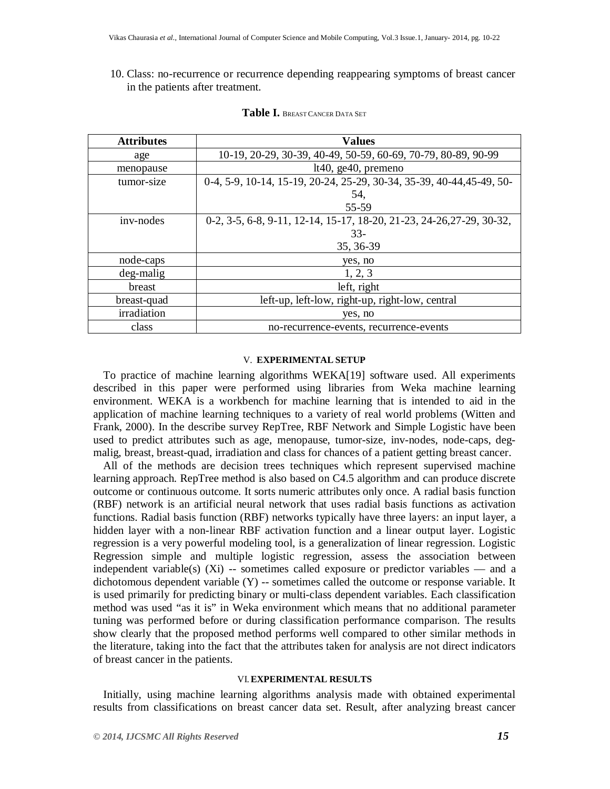## 10. Class: no-recurrence or recurrence depending reappearing symptoms of breast cancer in the patients after treatment.

| <b>Attributes</b> | <b>Values</b>                                                         |  |  |  |
|-------------------|-----------------------------------------------------------------------|--|--|--|
| age               | 10-19, 20-29, 30-39, 40-49, 50-59, 60-69, 70-79, 80-89, 90-99         |  |  |  |
| menopause         | $lt40$ , ge $40$ , premeno                                            |  |  |  |
| tumor-size        | 0-4, 5-9, 10-14, 15-19, 20-24, 25-29, 30-34, 35-39, 40-44, 45-49, 50- |  |  |  |
|                   | 54,                                                                   |  |  |  |
|                   | 55-59                                                                 |  |  |  |
| inv-nodes         | 0-2, 3-5, 6-8, 9-11, 12-14, 15-17, 18-20, 21-23, 24-26, 27-29, 30-32, |  |  |  |
|                   | $33-$                                                                 |  |  |  |
|                   | 35, 36-39                                                             |  |  |  |
| node-caps         | yes, no                                                               |  |  |  |
| deg-malig         | 1, 2, 3                                                               |  |  |  |
| breast            | left, right                                                           |  |  |  |
| breast-quad       | left-up, left-low, right-up, right-low, central                       |  |  |  |
| irradiation       | yes, no                                                               |  |  |  |
| class             | no-recurrence-events, recurrence-events                               |  |  |  |

## **Table I.** <sup>B</sup>REAST CANCER DATA SET

## V. **EXPERIMENTAL SETUP**

To practice of machine learning algorithms WEKA[19] software used. All experiments described in this paper were performed using libraries from Weka machine learning environment. WEKA is a workbench for machine learning that is intended to aid in the application of machine learning techniques to a variety of real world problems (Witten and Frank, 2000). In the describe survey RepTree, RBF Network and Simple Logistic have been used to predict attributes such as age, menopause, tumor-size, inv-nodes, node-caps, degmalig, breast, breast-quad, irradiation and class for chances of a patient getting breast cancer.

All of the methods are decision trees techniques which represent supervised machine learning approach. RepTree method is also based on C4.5 algorithm and can produce discrete outcome or continuous outcome. It sorts numeric attributes only once. A radial basis function (RBF) network is an artificial neural network that uses radial basis functions as activation functions. Radial basis function (RBF) networks typically have three layers: an input layer, a hidden layer with a non-linear RBF activation function and a linear output layer. Logistic regression is a very powerful modeling tool, is a generalization of linear regression. Logistic Regression simple and multiple logistic regression, assess the association between independent variable(s)  $(X_i)$  -- sometimes called exposure or predictor variables — and a dichotomous dependent variable (Y) -- sometimes called the outcome or response variable. It is used primarily for predicting binary or multi-class dependent variables. Each classification method was used "as it is" in Weka environment which means that no additional parameter tuning was performed before or during classification performance comparison. The results show clearly that the proposed method performs well compared to other similar methods in the literature, taking into the fact that the attributes taken for analysis are not direct indicators of breast cancer in the patients.

#### VI.**EXPERIMENTAL RESULTS**

Initially, using machine learning algorithms analysis made with obtained experimental results from classifications on breast cancer data set. Result, after analyzing breast cancer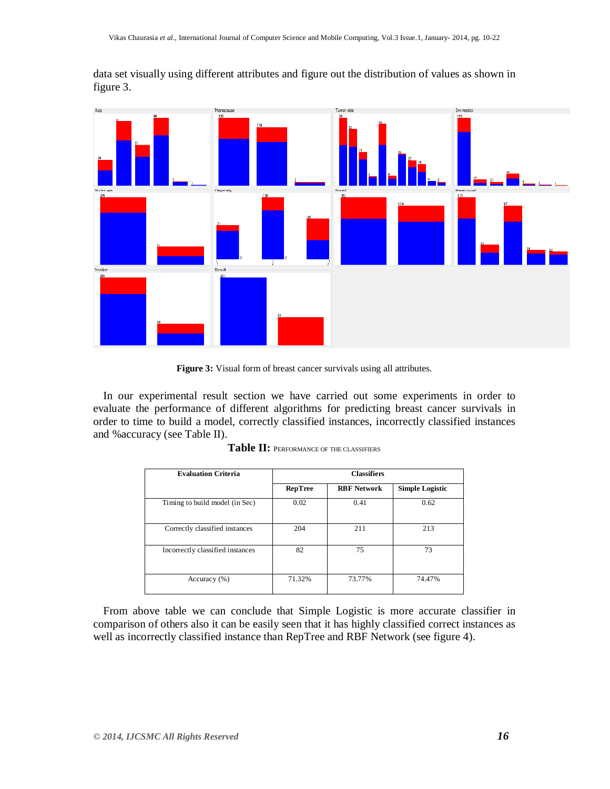Menopause Inv-nodes

data set visually using different attributes and figure out the distribution of values as shown in figure 3.

**Figure 3:** Visual form of breast cancer survivals using all attributes.

In our experimental result section we have carried out some experiments in order to evaluate the performance of different algorithms for predicting breast cancer survivals in order to time to build a model, correctly classified instances, incorrectly classified instances and %accuracy (see Table II).

| <b>Evaluation Criteria</b>       | <b>Classifiers</b> |                    |                        |  |
|----------------------------------|--------------------|--------------------|------------------------|--|
|                                  | RepTree            | <b>RBF</b> Network | <b>Simple Logistic</b> |  |
| Timing to build model (in Sec)   | 0.02               | 0.41               | 0.62                   |  |
| Correctly classified instances   | 204                | 211                | 213                    |  |
| Incorrectly classified instances | 82                 | 75                 | 73                     |  |
| Accuracy $(\% )$                 | 71.32%             | 73.77%             | 74.47%                 |  |

| Table II: PERFORMANCE OF THE CLASSIFIERS |  |
|------------------------------------------|--|
|------------------------------------------|--|

From above table we can conclude that Simple Logistic is more accurate classifier in comparison of others also it can be easily seen that it has highly classified correct instances as well as incorrectly classified instance than RepTree and RBF Network (see figure 4).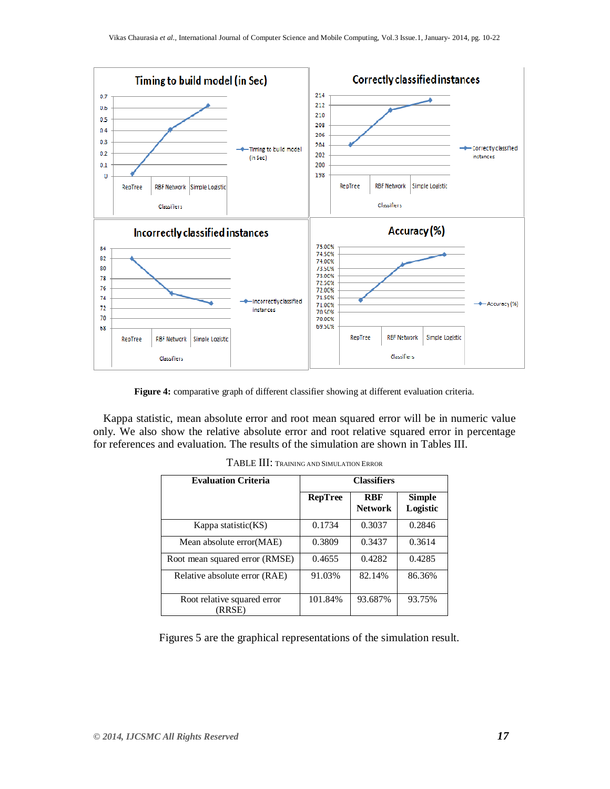

**Figure 4:** comparative graph of different classifier showing at different evaluation criteria.

Kappa statistic, mean absolute error and root mean squared error will be in numeric value only. We also show the relative absolute error and root relative squared error in percentage for references and evaluation. The results of the simulation are shown in Tables III.

| <b>Evaluation Criteria</b>            | <b>Classifiers</b> |                              |                           |
|---------------------------------------|--------------------|------------------------------|---------------------------|
|                                       | RepTree            | <b>RBF</b><br><b>Network</b> | <b>Simple</b><br>Logistic |
| Kappa statistic(KS)                   | 0.1734             | 0.3037                       | 0.2846                    |
| Mean absolute error (MAE)             | 0.3809             | 0.3437                       | 0.3614                    |
| Root mean squared error (RMSE)        | 0.4655             | 0.4282                       | 0.4285                    |
| Relative absolute error (RAE)         | 91.03%             | 82.14%                       | 86.36%                    |
| Root relative squared error<br>(RRSE) | 101.84%            | 93.687%                      | 93.75%                    |

TABLE III: <sup>T</sup>RAINING AND SIMULATION ERROR

Figures 5 are the graphical representations of the simulation result.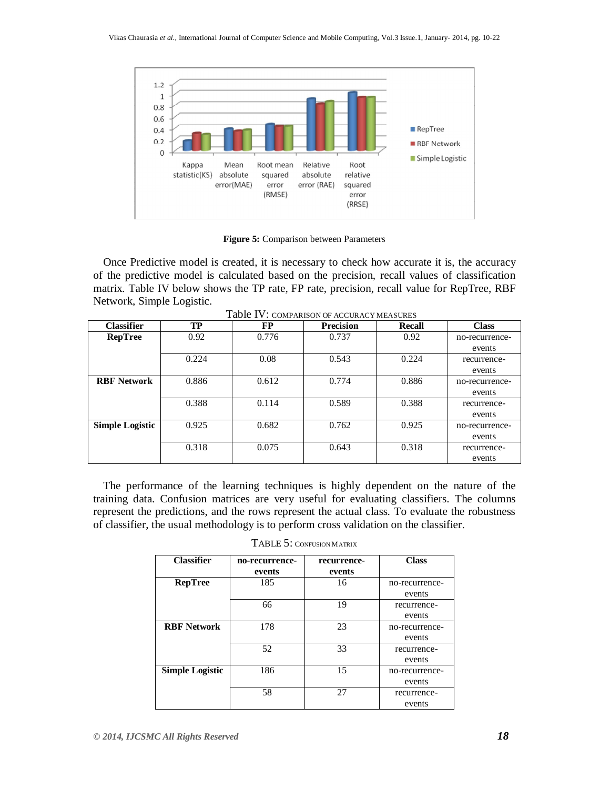

**Figure 5:** Comparison between Parameters

Once Predictive model is created, it is necessary to check how accurate it is, the accuracy of the predictive model is calculated based on the precision, recall values of classification matrix. Table IV below shows the TP rate, FP rate, precision, recall value for RepTree, RBF Network, Simple Logistic.

| <b>Classifier</b>      | TP    | FP    | <b>Precision</b> | Recall | <b>Class</b>   |
|------------------------|-------|-------|------------------|--------|----------------|
| <b>RepTree</b>         | 0.92  | 0.776 | 0.737            | 0.92   | no-recurrence- |
|                        |       |       |                  |        | events         |
|                        | 0.224 | 0.08  | 0.543            | 0.224  | recurrence-    |
|                        |       |       |                  |        | events         |
| <b>RBF Network</b>     | 0.886 | 0.612 | 0.774            | 0.886  | no-recurrence- |
|                        |       |       |                  |        | events         |
|                        | 0.388 | 0.114 | 0.589            | 0.388  | recurrence-    |
|                        |       |       |                  |        | events         |
| <b>Simple Logistic</b> | 0.925 | 0.682 | 0.762            | 0.925  | no-recurrence- |
|                        |       |       |                  |        | events         |
|                        | 0.318 | 0.075 | 0.643            | 0.318  | recurrence-    |
|                        |       |       |                  |        | events         |

Table IV: COMPARISON OF ACCURACY MEASURES

The performance of the learning techniques is highly dependent on the nature of the training data. Confusion matrices are very useful for evaluating classifiers. The columns represent the predictions, and the rows represent the actual class. To evaluate the robustness of classifier, the usual methodology is to perform cross validation on the classifier.

| <b>Classifier</b>      | no-recurrence- | recurrence- | <b>Class</b>   |
|------------------------|----------------|-------------|----------------|
|                        | events         | events      |                |
| <b>RepTree</b>         | 185            | 16          | no-recurrence- |
|                        |                |             | events         |
|                        | 66             | 19          | recurrence-    |
|                        |                |             | events         |
| <b>RBF Network</b>     | 178            | 23          | no-recurrence- |
|                        |                |             | events         |
|                        | 52             | 33          | recurrence-    |
|                        |                |             | events         |
| <b>Simple Logistic</b> | 186            | 15          | no-recurrence- |
|                        |                |             | events         |
|                        | 58             | 27          | recurrence-    |
|                        |                |             | events         |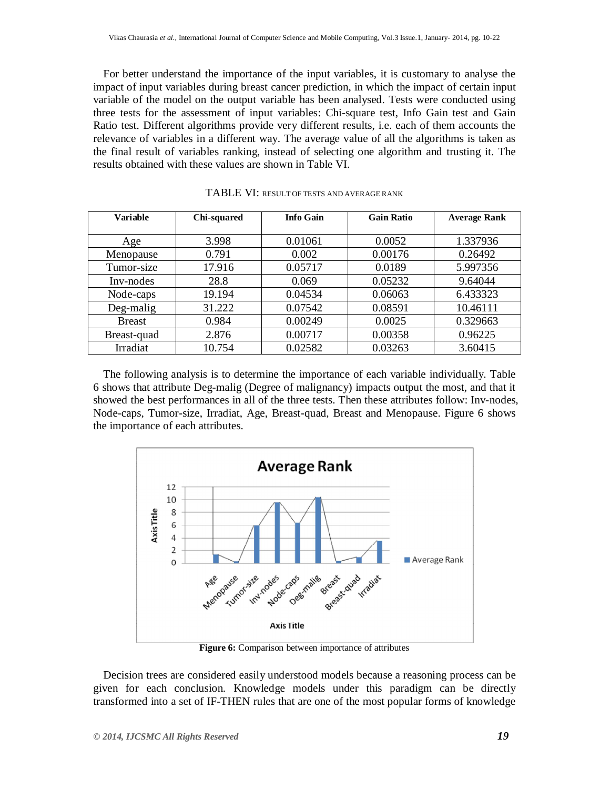For better understand the importance of the input variables, it is customary to analyse the impact of input variables during breast cancer prediction, in which the impact of certain input variable of the model on the output variable has been analysed. Tests were conducted using three tests for the assessment of input variables: Chi-square test, Info Gain test and Gain Ratio test. Different algorithms provide very different results, i.e. each of them accounts the relevance of variables in a different way. The average value of all the algorithms is taken as the final result of variables ranking, instead of selecting one algorithm and trusting it. The results obtained with these values are shown in Table VI.

| <b>Variable</b> | Chi-squared | <b>Info Gain</b> | <b>Gain Ratio</b> | <b>Average Rank</b> |
|-----------------|-------------|------------------|-------------------|---------------------|
|                 |             |                  |                   |                     |
| Age             | 3.998       | 0.01061          | 0.0052            | 1.337936            |
| Menopause       | 0.791       | 0.002            | 0.00176           | 0.26492             |
| Tumor-size      | 17.916      | 0.05717          | 0.0189            | 5.997356            |
| Inv-nodes       | 28.8        | 0.069            | 0.05232           | 9.64044             |
| Node-caps       | 19.194      | 0.04534          | 0.06063           | 6.433323            |
| Deg-malig       | 31.222      | 0.07542          | 0.08591           | 10.46111            |
| <b>Breast</b>   | 0.984       | 0.00249          | 0.0025            | 0.329663            |
| Breast-quad     | 2.876       | 0.00717          | 0.00358           | 0.96225             |
| Irradiat        | 10.754      | 0.02582          | 0.03263           | 3.60415             |

TABLE VI: RESULT OF TESTS AND AVERAGE RANK

The following analysis is to determine the importance of each variable individually. Table 6 shows that attribute Deg-malig (Degree of malignancy) impacts output the most, and that it showed the best performances in all of the three tests. Then these attributes follow: Inv-nodes, Node-caps, Tumor-size, Irradiat, Age, Breast-quad, Breast and Menopause. Figure 6 shows the importance of each attributes.



**Figure 6:** Comparison between importance of attributes

Decision trees are considered easily understood models because a reasoning process can be given for each conclusion. Knowledge models under this paradigm can be directly transformed into a set of IF-THEN rules that are one of the most popular forms of knowledge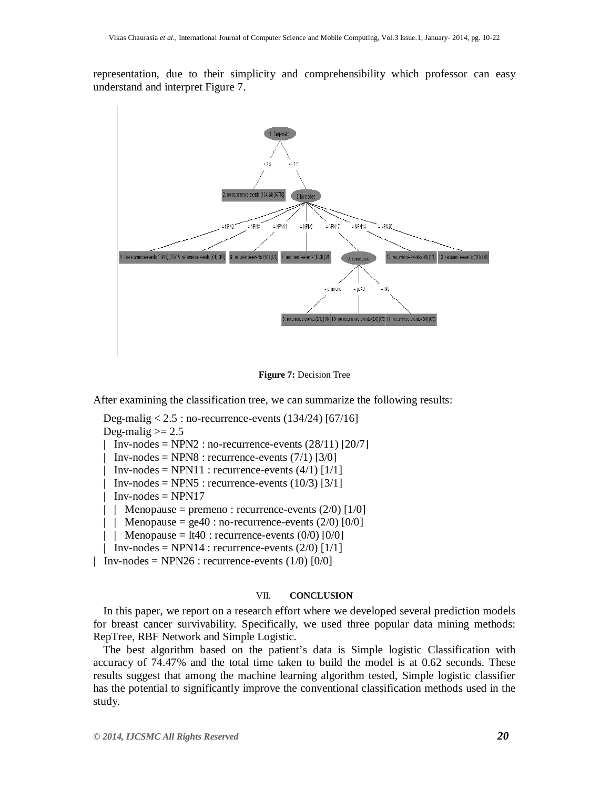representation, due to their simplicity and comprehensibility which professor can easy understand and interpret Figure 7.



**Figure 7:** Decision Tree

After examining the classification tree, we can summarize the following results:

Deg-malig  $< 2.5$ : no-recurrence-events (134/24) [67/16] Deg-malig  $\ge$  2.5

| Inv-nodes = NPN2 : no-recurrence-events  $(28/11)$  [20/7]

 $Inv-nodes = NPN8$ : recurrence-events (7/1) [3/0]

 $Inv-nodes = NPN11$ : recurrence-events  $(4/1)$   $[1/1]$ 

 $Inv-nodes = NPN5$ : recurrence-events (10/3) [3/1]

 $Inv-nodes = NPN17$ 

| | Menopause = premeno : recurrence-events  $(2/0)$  [1/0]

- | | Menopause = ge40 : no-recurrence-events  $(2/0)$  [0/0]
- | | Menopause =  $lt40$  : recurrence-events  $(0/0)$   $[0/0]$
- | Inv-nodes = NPN14 : recurrence-events  $(2/0)$  [1/1]

| Inv-nodes = NPN26 : recurrence-events  $(1/0)$   $[0/0]$ 

## VII. **CONCLUSION**

In this paper, we report on a research effort where we developed several prediction models for breast cancer survivability. Specifically, we used three popular data mining methods: RepTree, RBF Network and Simple Logistic.

The best algorithm based on the patient's data is Simple logistic Classification with accuracy of 74.47% and the total time taken to build the model is at 0.62 seconds. These results suggest that among the machine learning algorithm tested, Simple logistic classifier has the potential to significantly improve the conventional classification methods used in the study.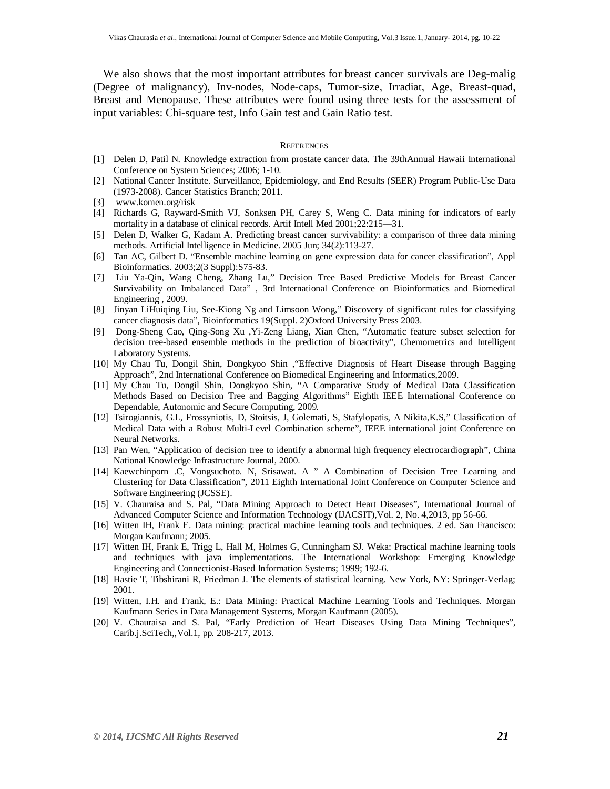We also shows that the most important attributes for breast cancer survivals are Deg-malig (Degree of malignancy), Inv-nodes, Node-caps, Tumor-size, Irradiat, Age, Breast-quad, Breast and Menopause. These attributes were found using three tests for the assessment of input variables: Chi-square test, Info Gain test and Gain Ratio test.

#### **REFERENCES**

- [1] Delen D, Patil N. Knowledge extraction from prostate cancer data. The 39thAnnual Hawaii International Conference on System Sciences; 2006; 1-10.
- [2] National Cancer Institute. Surveillance, Epidemiology, and End Results (SEER) Program Public-Use Data (1973-2008). Cancer Statistics Branch; 2011.
- [3] www.komen.org/risk
- [4] Richards G, Rayward-Smith VJ, Sonksen PH, Carey S, Weng C. Data mining for indicators of early mortality in a database of clinical records. Artif Intell Med 2001;22:215—31.
- [5] Delen D, Walker G, Kadam A. Predicting breast cancer survivability: a comparison of three data mining methods. Artificial Intelligence in Medicine. 2005 Jun; 34(2):113-27.
- [6] Tan AC, Gilbert D. "Ensemble machine learning on gene expression data for cancer classification", Appl Bioinformatics. 2003;2(3 Suppl):S75-83.
- [7] Liu Ya-Qin, Wang Cheng, Zhang Lu," Decision Tree Based Predictive Models for Breast Cancer Survivability on Imbalanced Data" , 3rd International Conference on Bioinformatics and Biomedical Engineering , 2009.
- [8] Jinyan LiHuiqing Liu, See-Kiong Ng and Limsoon Wong," Discovery of significant rules for classifying cancer diagnosis data", Bioinformatics 19(Suppl. 2)Oxford University Press 2003.
- [9] Dong-Sheng Cao, Qing-Song Xu ,Yi-Zeng Liang, Xian Chen, "Automatic feature subset selection for decision tree-based ensemble methods in the prediction of bioactivity", Chemometrics and Intelligent Laboratory Systems.
- [10] My Chau Tu, Dongil Shin, Dongkyoo Shin ,"Effective Diagnosis of Heart Disease through Bagging Approach", 2nd International Conference on Biomedical Engineering and Informatics,2009.
- [11] My Chau Tu, Dongil Shin, Dongkyoo Shin, "A Comparative Study of Medical Data Classification Methods Based on Decision Tree and Bagging Algorithms" Eighth IEEE International Conference on Dependable, Autonomic and Secure Computing, 2009.
- [12] Tsirogiannis, G.L, Frossyniotis, D, Stoitsis, J, Golemati, S, Stafylopatis, A Nikita,K.S," Classification of Medical Data with a Robust Multi-Level Combination scheme", IEEE international joint Conference on Neural Networks.
- [13] Pan Wen, "Application of decision tree to identify a abnormal high frequency electrocardiograph", China National Knowledge Infrastructure Journal, 2000.
- [14] Kaewchinporn .C, Vongsuchoto. N, Srisawat. A " A Combination of Decision Tree Learning and Clustering for Data Classification", 2011 Eighth International Joint Conference on Computer Science and Software Engineering (JCSSE).
- [15] V. Chauraisa and S. Pal, "Data Mining Approach to Detect Heart Diseases", International Journal of Advanced Computer Science and Information Technology (IJACSIT),Vol. 2, No. 4,2013, pp 56-66.
- [16] Witten IH, Frank E. Data mining: practical machine learning tools and techniques. 2 ed. San Francisco: Morgan Kaufmann; 2005.
- [17] Witten IH, Frank E, Trigg L, Hall M, Holmes G, Cunningham SJ. Weka: Practical machine learning tools and techniques with java implementations. The International Workshop: Emerging Knowledge Engineering and Connectionist-Based Information Systems; 1999; 192-6.
- [18] Hastie T, Tibshirani R, Friedman J. The elements of statistical learning. New York, NY: Springer-Verlag; 2001.
- [19] Witten, I.H. and Frank, E.: Data Mining: Practical Machine Learning Tools and Techniques. Morgan Kaufmann Series in Data Management Systems, Morgan Kaufmann (2005).
- [20] V. Chauraisa and S. Pal, "Early Prediction of Heart Diseases Using Data Mining Techniques", Carib.j.SciTech,,Vol.1, pp. 208-217, 2013.